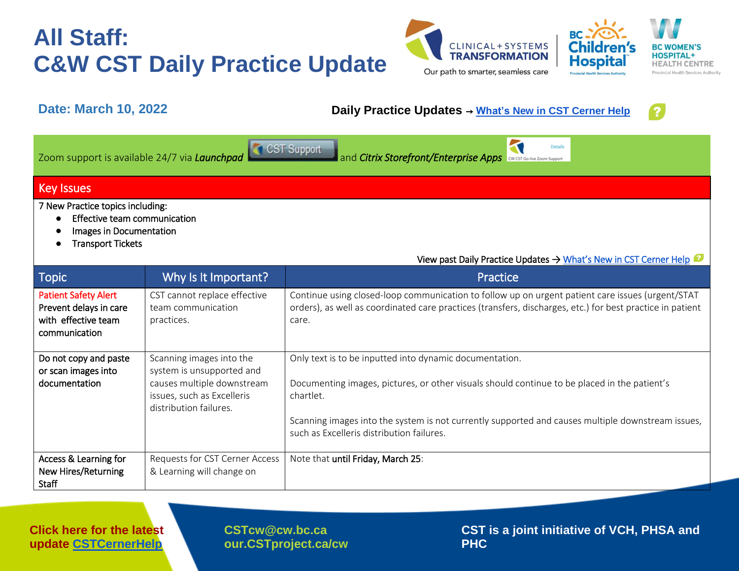



### **Date: March 10, 2022 Daily Practice Updates** → **What's [New in CST Cerner Help](http://cstcernerhelp.healthcarebc.ca/#t=Whats_New%2FWhat_s_New.htm&rhsearch=favourites%20printer&rhsyns=%20)**

 $\overline{\mathbf{N}}$ 



Zoom support is available 24/7 via *Launchpad* **and Citrix Storefront/Enterprise Apps CONSCRIPTION** 

### Key Issues

7 New Practice topics including:

- Effective team communication
- Images in Documentation
- Transport Tickets

| <b>Topic</b>                                                                                  | Why Is It Important?                                                                                                                        | Practice                                                                                                                                                                                                                                                                                                               |
|-----------------------------------------------------------------------------------------------|---------------------------------------------------------------------------------------------------------------------------------------------|------------------------------------------------------------------------------------------------------------------------------------------------------------------------------------------------------------------------------------------------------------------------------------------------------------------------|
| <b>Patient Safety Alert</b><br>Prevent delays in care<br>with effective team<br>communication | CST cannot replace effective<br>team communication<br>practices.                                                                            | Continue using closed-loop communication to follow up on urgent patient care issues (urgent/STAT<br>orders), as well as coordinated care practices (transfers, discharges, etc.) for best practice in patient<br>care.                                                                                                 |
| Do not copy and paste<br>or scan images into<br>documentation                                 | Scanning images into the<br>system is unsupported and<br>causes multiple downstream<br>issues, such as Excelleris<br>distribution failures. | Only text is to be inputted into dynamic documentation.<br>Documenting images, pictures, or other visuals should continue to be placed in the patient's<br>chartlet.<br>Scanning images into the system is not currently supported and causes multiple downstream issues,<br>such as Excelleris distribution failures. |
| Access & Learning for<br><b>New Hires/Returning</b><br>Staff                                  | Requests for CST Cerner Access<br>& Learning will change on                                                                                 | Note that until Friday, March 25:                                                                                                                                                                                                                                                                                      |

**Click here for the latest update [CSTCernerHelp](http://cstcernerhelp.healthcarebc.ca/#t=Whats_New%2FWhat_s_New.htm&rhsearch=favourites%20printer&rhsyns=%20)**

**[CSTcw@cw.bc.ca](mailto:CSTcw@cw.bc.ca)  our.CSTproject.ca/cw** **CST is a joint initiative of VCH, PHSA and PHC**

View past Daily Practice Updates [→ What's New in CST Cerner Help](http://cstcernerhelp.healthcarebc.ca/#t=Whats_New%2FWhat_s_New.htm&rhsearch=favourites%20printer&rhsyns=%20)

Details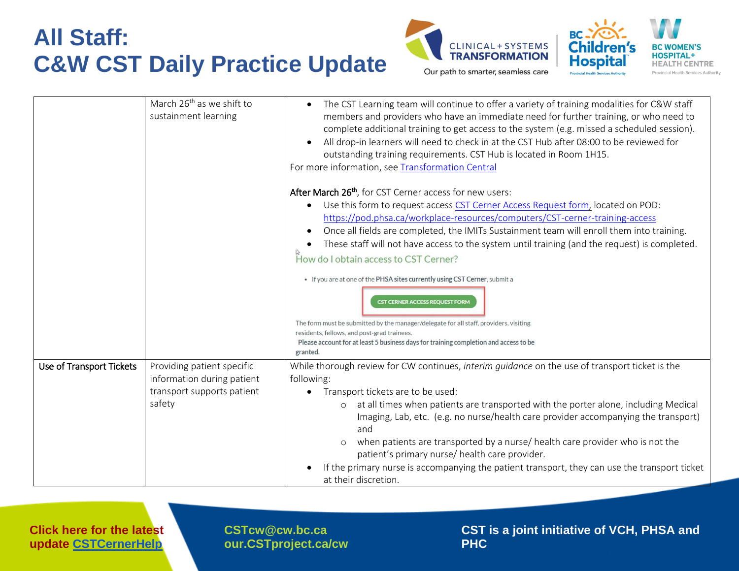



|                          | March 26 <sup>th</sup> as we shift to<br>sustainment learning                                    | The CST Learning team will continue to offer a variety of training modalities for C&W staff<br>members and providers who have an immediate need for further training, or who need to<br>complete additional training to get access to the system (e.g. missed a scheduled session).<br>All drop-in learners will need to check in at the CST Hub after 08:00 to be reviewed for<br>outstanding training requirements. CST Hub is located in Room 1H15.<br>For more information, see Transformation Central                                                                                                                                                                                                                                                                                                                                       |
|--------------------------|--------------------------------------------------------------------------------------------------|--------------------------------------------------------------------------------------------------------------------------------------------------------------------------------------------------------------------------------------------------------------------------------------------------------------------------------------------------------------------------------------------------------------------------------------------------------------------------------------------------------------------------------------------------------------------------------------------------------------------------------------------------------------------------------------------------------------------------------------------------------------------------------------------------------------------------------------------------|
|                          |                                                                                                  | After March 26 <sup>th</sup> , for CST Cerner access for new users:<br>Use this form to request access CST Cerner Access Request form, located on POD:<br>https://pod.phsa.ca/workplace-resources/computers/CST-cerner-training-access<br>Once all fields are completed, the IMITs Sustainment team will enroll them into training.<br>These staff will not have access to the system until training (and the request) is completed.<br>How do I obtain access to CST Cerner?<br>• If you are at one of the PHSA sites currently using CST Cerner, submit a<br><b>CST CERNER ACCESS REQUEST FORM</b><br>The form must be submitted by the manager/delegate for all staff, providers, visiting<br>residents, fellows, and post-grad trainees.<br>Please account for at least 5 business days for training completion and access to be<br>granted. |
| Use of Transport Tickets | Providing patient specific<br>information during patient<br>transport supports patient<br>safety | While thorough review for CW continues, interim guidance on the use of transport ticket is the<br>following:<br>Transport tickets are to be used:<br>at all times when patients are transported with the porter alone, including Medical<br>Imaging, Lab, etc. (e.g. no nurse/health care provider accompanying the transport)<br>and<br>when patients are transported by a nurse/ health care provider who is not the<br>patient's primary nurse/ health care provider.<br>If the primary nurse is accompanying the patient transport, they can use the transport ticket<br>at their discretion.                                                                                                                                                                                                                                                |

**Click here for the latest update [CSTCernerHelp](http://cstcernerhelp.healthcarebc.ca/#t=Whats_New%2FWhat_s_New.htm&rhsearch=favourites%20printer&rhsyns=%20)**

**[CSTcw@cw.bc.ca](mailto:CSTcw@cw.bc.ca)  our.CSTproject.ca/cw** **CST is a joint initiative of VCH, PHSA and PHC**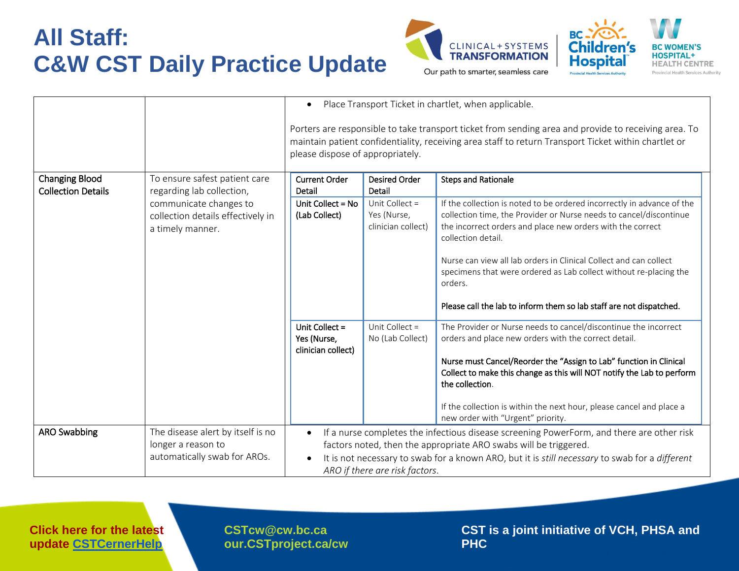



|                                                    |                                                                                 | Place Transport Ticket in chartlet, when applicable.<br>$\bullet$                                                                                                                                                                                |                                                                                                                                                               |                                                                                                                                                                                                                                  |  |  |
|----------------------------------------------------|---------------------------------------------------------------------------------|--------------------------------------------------------------------------------------------------------------------------------------------------------------------------------------------------------------------------------------------------|---------------------------------------------------------------------------------------------------------------------------------------------------------------|----------------------------------------------------------------------------------------------------------------------------------------------------------------------------------------------------------------------------------|--|--|
|                                                    |                                                                                 | Porters are responsible to take transport ticket from sending area and provide to receiving area. To<br>maintain patient confidentiality, receiving area staff to return Transport Ticket within chartlet or<br>please dispose of appropriately. |                                                                                                                                                               |                                                                                                                                                                                                                                  |  |  |
| <b>Changing Blood</b><br><b>Collection Details</b> | To ensure safest patient care<br>regarding lab collection,                      | <b>Current Order</b><br>Detail                                                                                                                                                                                                                   | <b>Desired Order</b><br>Detail                                                                                                                                | <b>Steps and Rationale</b>                                                                                                                                                                                                       |  |  |
|                                                    | communicate changes to<br>collection details effectively in<br>a timely manner. | Unit Collect = No<br>(Lab Collect)                                                                                                                                                                                                               | Unit Collect =<br>Yes (Nurse,<br>clinician collect)                                                                                                           | If the collection is noted to be ordered incorrectly in advance of the<br>collection time, the Provider or Nurse needs to cancel/discontinue<br>the incorrect orders and place new orders with the correct<br>collection detail. |  |  |
|                                                    |                                                                                 |                                                                                                                                                                                                                                                  |                                                                                                                                                               | Nurse can view all lab orders in Clinical Collect and can collect<br>specimens that were ordered as Lab collect without re-placing the<br>orders.                                                                                |  |  |
|                                                    |                                                                                 |                                                                                                                                                                                                                                                  |                                                                                                                                                               | Please call the lab to inform them so lab staff are not dispatched.                                                                                                                                                              |  |  |
|                                                    |                                                                                 | Unit Collect =<br>Yes (Nurse,<br>clinician collect)                                                                                                                                                                                              | Unit Collect =<br>No (Lab Collect)                                                                                                                            | The Provider or Nurse needs to cancel/discontinue the incorrect<br>orders and place new orders with the correct detail.<br>Nurse must Cancel/Reorder the "Assign to Lab" function in Clinical                                    |  |  |
|                                                    |                                                                                 |                                                                                                                                                                                                                                                  |                                                                                                                                                               | Collect to make this change as this will NOT notify the Lab to perform<br>the collection.                                                                                                                                        |  |  |
|                                                    |                                                                                 |                                                                                                                                                                                                                                                  |                                                                                                                                                               | If the collection is within the next hour, please cancel and place a<br>new order with "Urgent" priority.                                                                                                                        |  |  |
| <b>ARO Swabbing</b>                                | The disease alert by itself is no<br>longer a reason to                         |                                                                                                                                                                                                                                                  | If a nurse completes the infectious disease screening PowerForm, and there are other risk<br>factors noted, then the appropriate ARO swabs will be triggered. |                                                                                                                                                                                                                                  |  |  |
|                                                    | automatically swab for AROs.                                                    | It is not necessary to swab for a known ARO, but it is still necessary to swab for a different<br>ARO if there are risk factors.                                                                                                                 |                                                                                                                                                               |                                                                                                                                                                                                                                  |  |  |

**Click here for the latest update [CSTCernerHelp](http://cstcernerhelp.healthcarebc.ca/#t=Whats_New%2FWhat_s_New.htm&rhsearch=favourites%20printer&rhsyns=%20)**

**[CSTcw@cw.bc.ca](mailto:CSTcw@cw.bc.ca)  our.CSTproject.ca/cw** **CST is a joint initiative of VCH, PHSA and PHC**